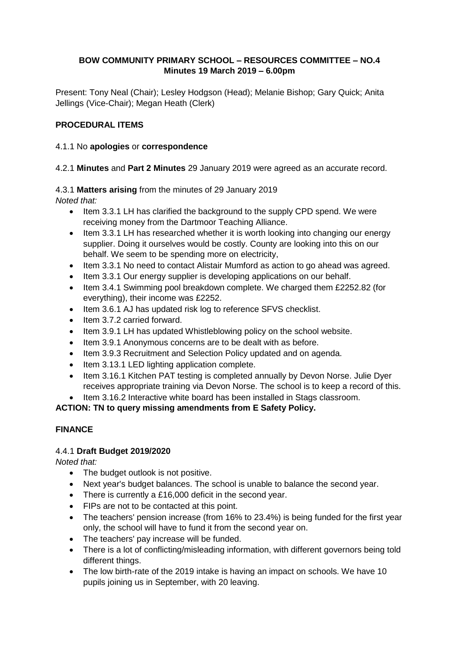## **BOW COMMUNITY PRIMARY SCHOOL – RESOURCES COMMITTEE – NO.4 Minutes 19 March 2019 – 6.00pm**

Present: Tony Neal (Chair); Lesley Hodgson (Head); Melanie Bishop; Gary Quick; Anita Jellings (Vice-Chair); Megan Heath (Clerk)

## **PROCEDURAL ITEMS**

#### 4.1.1 No **apologies** or **correspondence**

4.2.1 **Minutes** and **Part 2 Minutes** 29 January 2019 were agreed as an accurate record.

4.3.1 **Matters arising** from the minutes of 29 January 2019

*Noted that:*

- Item 3.3.1 LH has clarified the background to the supply CPD spend. We were receiving money from the Dartmoor Teaching Alliance.
- Item 3.3.1 LH has researched whether it is worth looking into changing our energy supplier. Doing it ourselves would be costly. County are looking into this on our behalf. We seem to be spending more on electricity,
- Item 3.3.1 No need to contact Alistair Mumford as action to go ahead was agreed.
- Item 3.3.1 Our energy supplier is developing applications on our behalf.
- Item 3.4.1 Swimming pool breakdown complete. We charged them £2252.82 (for everything), their income was £2252.
- Item 3.6.1 AJ has updated risk log to reference SFVS checklist.
- Item 3.7.2 carried forward.
- Item 3.9.1 LH has updated Whistleblowing policy on the school website.
- Item 3.9.1 Anonymous concerns are to be dealt with as before.
- Item 3.9.3 Recruitment and Selection Policy updated and on agenda.
- Item 3.13.1 LED lighting application complete.
- Item 3.16.1 Kitchen PAT testing is completed annually by Devon Norse. Julie Dyer receives appropriate training via Devon Norse. The school is to keep a record of this.
- Item 3.16.2 Interactive white board has been installed in Stags classroom.

**ACTION: TN to query missing amendments from E Safety Policy.**

### **FINANCE**

### 4.4.1 **Draft Budget 2019/2020**

*Noted that:*

- The budget outlook is not positive.
- Next year's budget balances. The school is unable to balance the second year.
- There is currently a £16,000 deficit in the second year.
- FIPs are not to be contacted at this point.
- The teachers' pension increase (from 16% to 23.4%) is being funded for the first year only, the school will have to fund it from the second year on.
- The teachers' pay increase will be funded.
- There is a lot of conflicting/misleading information, with different governors being told different things.
- The low birth-rate of the 2019 intake is having an impact on schools. We have 10 pupils joining us in September, with 20 leaving.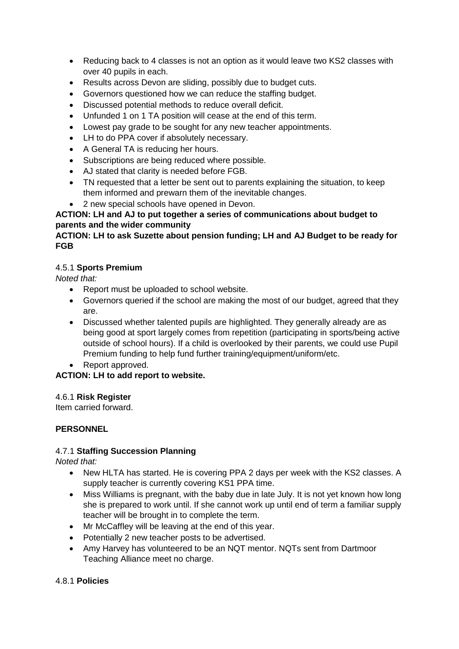- Reducing back to 4 classes is not an option as it would leave two KS2 classes with over 40 pupils in each.
- Results across Devon are sliding, possibly due to budget cuts.
- Governors questioned how we can reduce the staffing budget.
- Discussed potential methods to reduce overall deficit.
- Unfunded 1 on 1 TA position will cease at the end of this term.
- Lowest pay grade to be sought for any new teacher appointments.
- LH to do PPA cover if absolutely necessary.
- A General TA is reducing her hours.
- Subscriptions are being reduced where possible.
- AJ stated that clarity is needed before FGB.
- TN requested that a letter be sent out to parents explaining the situation, to keep them informed and prewarn them of the inevitable changes.
- 2 new special schools have opened in Devon.

# **ACTION: LH and AJ to put together a series of communications about budget to parents and the wider community**

# **ACTION: LH to ask Suzette about pension funding; LH and AJ Budget to be ready for FGB**

### 4.5.1 **Sports Premium**

*Noted that:* 

- Report must be uploaded to school website.
- Governors queried if the school are making the most of our budget, agreed that they are.
- Discussed whether talented pupils are highlighted. They generally already are as being good at sport largely comes from repetition (participating in sports/being active outside of school hours). If a child is overlooked by their parents, we could use Pupil Premium funding to help fund further training/equipment/uniform/etc.
- Report approved.

# **ACTION: LH to add report to website.**

### 4.6.1 **Risk Register**

Item carried forward.

### **PERSONNEL**

### 4.7.1 **Staffing Succession Planning**

*Noted that:*

- New HLTA has started. He is covering PPA 2 days per week with the KS2 classes. A supply teacher is currently covering KS1 PPA time.
- Miss Williams is pregnant, with the baby due in late July, It is not yet known how long she is prepared to work until. If she cannot work up until end of term a familiar supply teacher will be brought in to complete the term.
- Mr McCaffley will be leaving at the end of this year.
- Potentially 2 new teacher posts to be advertised.
- Amy Harvey has volunteered to be an NQT mentor. NQTs sent from Dartmoor Teaching Alliance meet no charge.

### 4.8.1 **Policies**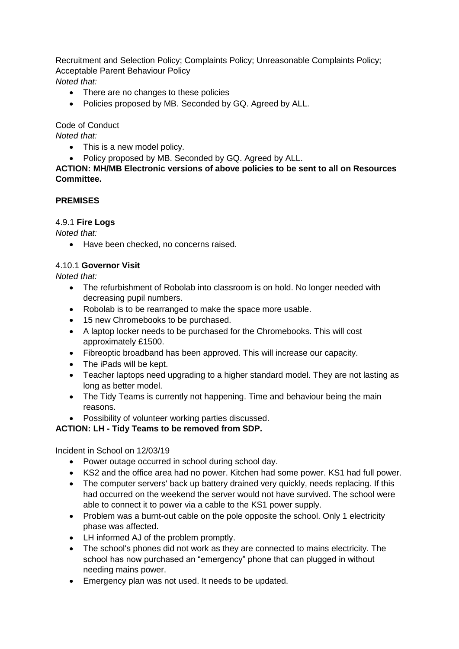Recruitment and Selection Policy; Complaints Policy; Unreasonable Complaints Policy; Acceptable Parent Behaviour Policy *Noted that:*

- There are no changes to these policies
- Policies proposed by MB. Seconded by GQ. Agreed by ALL.

Code of Conduct

*Noted that:*

- This is a new model policy.
- Policy proposed by MB. Seconded by GQ. Agreed by ALL.

**ACTION: MH/MB Electronic versions of above policies to be sent to all on Resources Committee.**

#### **PREMISES**

#### 4.9.1 **Fire Logs**

*Noted that:*

• Have been checked, no concerns raised.

#### 4.10.1 **Governor Visit**

*Noted that:*

- The refurbishment of Robolab into classroom is on hold. No longer needed with decreasing pupil numbers.
- Robolab is to be rearranged to make the space more usable.
- 15 new Chromebooks to be purchased.
- A laptop locker needs to be purchased for the Chromebooks. This will cost approximately £1500.
- Fibreoptic broadband has been approved. This will increase our capacity.
- The iPads will be kept.
- Teacher laptops need upgrading to a higher standard model. They are not lasting as long as better model.
- The Tidy Teams is currently not happening. Time and behaviour being the main reasons.
- Possibility of volunteer working parties discussed.

### **ACTION: LH - Tidy Teams to be removed from SDP.**

Incident in School on 12/03/19

- Power outage occurred in school during school day.
- KS2 and the office area had no power. Kitchen had some power. KS1 had full power.
- The computer servers' back up battery drained very quickly, needs replacing. If this had occurred on the weekend the server would not have survived. The school were able to connect it to power via a cable to the KS1 power supply.
- Problem was a burnt-out cable on the pole opposite the school. Only 1 electricity phase was affected.
- LH informed AJ of the problem promptly.
- The school's phones did not work as they are connected to mains electricity. The school has now purchased an "emergency" phone that can plugged in without needing mains power.
- Emergency plan was not used. It needs to be updated.